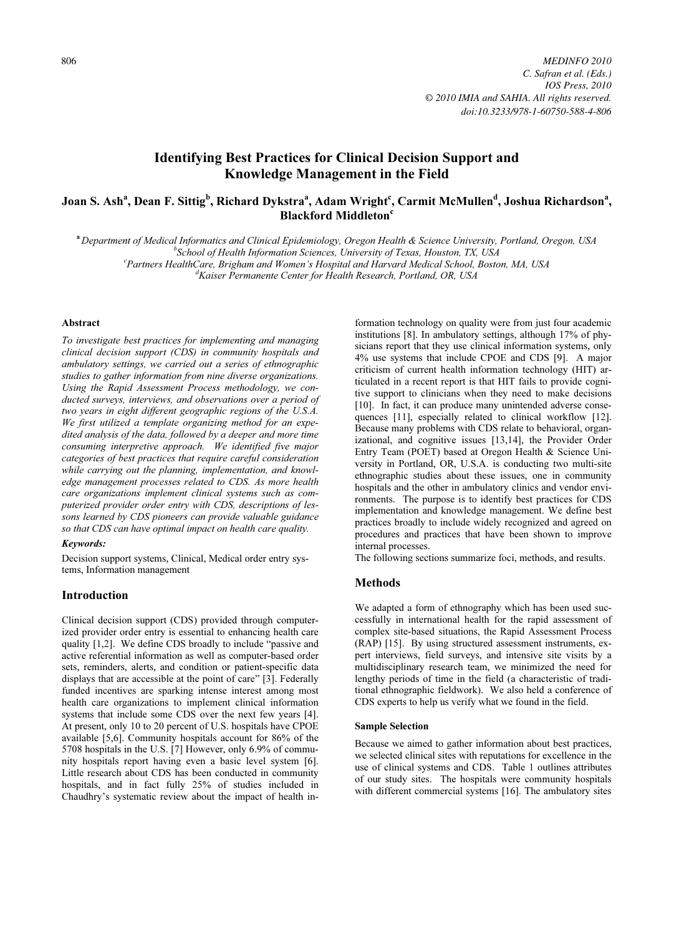# Identifying Best Practices for Clinical Decision Support and Knowledge Management in the Field

## Joan S. Ash<sup>a</sup>, Dean F. Sittig<sup>b</sup>, Richard Dykstra<sup>a</sup>, Adam Wright<sup>c</sup>, Carmit McMullen<sup>d</sup>, Joshua Richardson<sup>a</sup>, Blackford Middleton<sup>c</sup>

<sup>a</sup> Department of Medical Informatics and Clinical Epidemiology, Oregon Health & Science University, Portland, Oregon, USA  $b$ School of Health Information Sciences, University of Texas, Houston, TX, USA <sup>e</sup>Partners HealthCare, Brigham and Women's Hospital and Harvard Medical School, Boston, MA, USA Kaiser Permanente Center for Health Research, Portland, OR, USA

#### **Abstract**

To investigate best practices for implementing and managing clinical decision support (CDS) in community hospitals and ambulatory settings, we carried out a series of ethnographic studies to gather information from nine diverse organizations. Using the Rapid Assessment Process methodology, we conducted surveys, interviews, and observations over a period of two years in eight different geographic regions of the U.S.A. We first utilized a template organizing method for an expedited analysis of the data, followed by a deeper and more time consuming interpretive approach. We identified five major categories of best practices that require careful consideration while carrying out the planning, implementation, and knowledge management processes related to CDS. As more health care organizations implement clinical systems such as computerized provider order entry with CDS, descriptions of lessons learned by CDS pioneers can provide valuable guidance so that CDS can have optimal impact on health care quality.

## Keywords:

Decision support systems, Clinical, Medical order entry systems, Information management

## Introduction

Clinical decision support (CDS) provided through computerized provider order entry is essential to enhancing health care quality [1,2]. We define CDS broadly to include "passive and active referential information as well as computer-based order sets, reminders, alerts, and condition or patient-specific data displays that are accessible at the point of care" [3]. Federally funded incentives are sparking intense interest among most health care organizations to implement clinical information systems that include some CDS over the next few years [4]. At present, only 10 to 20 percent of U.S. hospitals have CPOE available [5,6]. Community hospitals account for 86% of the 5708 hospitals in the U.S. [7] However, only 6.9% of community hospitals report having even a basic level system [6]. Little research about CDS has been conducted in community hospitals, and in fact fully 25% of studies included in Chaudhry's systematic review about the impact of health in-

formation technology on quality were from just four academic institutions [8]. In ambulatory settings, although 17% of physicians report that they use clinical information systems, only 4% use systems that include CPOE and CDS [9]. A major criticism of current health information technology (HIT) articulated in a recent report is that HIT fails to provide cognitive support to clinicians when they need to make decisions [10]. In fact, it can produce many unintended adverse consequences [11], especially related to clinical workflow [12]. Because many problems with CDS relate to behavioral, organizational, and cognitive issues [13,14], the Provider Order Entry Team (POET) based at Oregon Health & Science University in Portland, OR, U.S.A. is conducting two multi-site ethnographic studies about these issues, one in community hospitals and the other in ambulatory clinics and vendor environments. The purpose is to identify best practices for CDS implementation and knowledge management. We define best practices broadly to include widely recognized and agreed on procedures and practices that have been shown to improve internal processes.

The following sections summarize foci, methods, and results.

## Methods

We adapted a form of ethnography which has been used successfully in international health for the rapid assessment of complex site-based situations, the Rapid Assessment Process (RAP) [15]. By using structured assessment instruments, expert interviews, field surveys, and intensive site visits by a multidisciplinary research team, we minimized the need for lengthy periods of time in the field (a characteristic of traditional ethnographic fieldwork). We also held a conference of CDS experts to help us verify what we found in the field.

#### Sample Selection

Because we aimed to gather information about best practices, we selected clinical sites with reputations for excellence in the use of clinical systems and CDS. Table 1 outlines attributes of our study sites. The hospitals were community hospitals with different commercial systems [16]. The ambulatory sites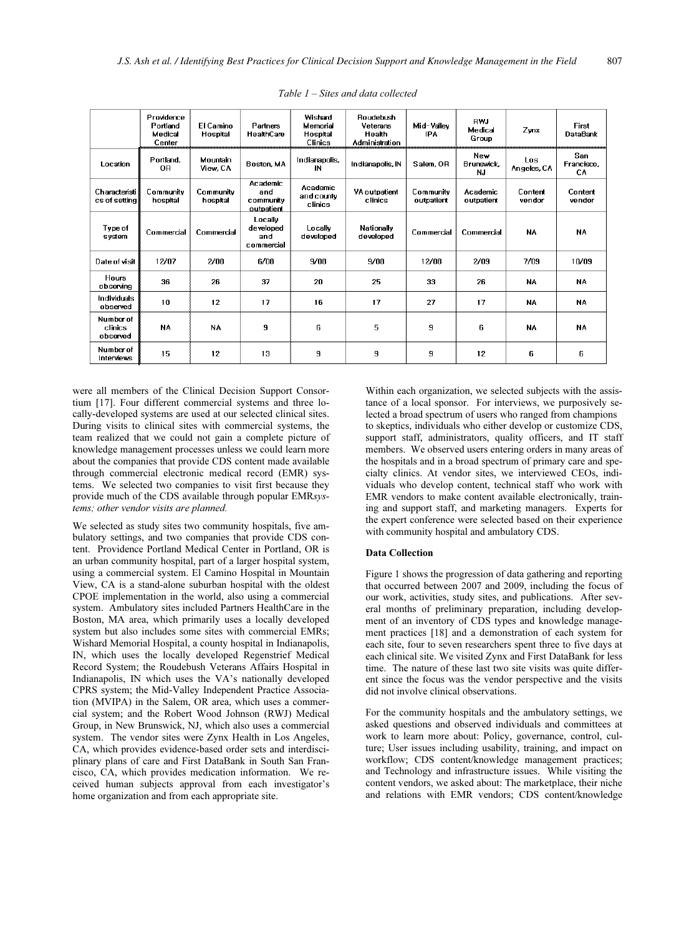|                                  | Providence<br>Portland<br>Medical<br>Center | El Camino<br>Hospital | Partners<br>HealthCare                     | Wishard<br>Memorial<br>Hospital<br><b>Clinics</b> | <b>Boudebush</b><br>Veterans<br>Health<br>Administration | Mid-Valley<br>IPA       | RWJ<br>Medical<br>Group        | Zvnx               | First<br>DataBank       |
|----------------------------------|---------------------------------------------|-----------------------|--------------------------------------------|---------------------------------------------------|----------------------------------------------------------|-------------------------|--------------------------------|--------------------|-------------------------|
| Location.                        | Portland.<br>0B                             | Mountain<br>View, CA  | Boston MA                                  | Indianapolis,<br>IN                               | Indianapolis, IN                                         | Salem, OR               | New<br><b>Brunswick</b><br>NJ. | Los<br>Angeles, CA | San<br>Francisco,<br>СA |
| Characteristi<br>cs of setting   | Community<br>hospital                       | Community<br>hospital | Academic<br>and<br>community<br>outpatient | Academic<br>and county<br>clinics                 | VA outpatient<br>clinics                                 | Community<br>outpatient | Academic<br>outpatient         | Content<br>vendor  | Content<br>vendor       |
| Type of<br>system                | Commercial                                  | Commercial            | Locally<br>developed<br>and<br>commercial  | Locally<br>developed                              | Nationally<br>developed                                  | Commercial              | Commercial                     | <b>NA</b>          | NA                      |
| Date of visit                    | 12/07                                       | 2/08                  | 6/08                                       | 9/08                                              | 9/08                                                     | 12/08                   | 2/09                           | 7/09               | 10/09                   |
| <b>Hours</b><br>observing        | 36                                          | 26                    | 37                                         | 20                                                | 25                                                       | 33                      | 26                             | <b>NA</b>          | <b>NA</b>               |
| Individuals<br>observed          | 10                                          | 12                    | 17                                         | 16                                                | 17                                                       | 27                      | 17                             | <b>NA</b>          | <b>NA</b>               |
| Number of<br>clinics<br>observed | NA                                          | <b>NA</b>             | 9                                          | 6                                                 | 5                                                        | 9                       | 6                              | <b>NA</b>          | <b>NA</b>               |
| Number of<br>interviews          | 15                                          | 12                    | 13                                         | 9                                                 | 9                                                        | 9                       | 12                             | 6                  | 6                       |

Table 1 – Sites and data collected

were all members of the Clinical Decision Support Consortium [17]. Four different commercial systems and three locally-developed systems are used at our selected clinical sites. During visits to clinical sites with commercial systems, the team realized that we could not gain a complete picture of knowledge management processes unless we could learn more about the companies that provide CDS content made available through commercial electronic medical record (EMR) systems. We selected two companies to visit first because they provide much of the CDS available through popular EMRsystems; other vendor visits are planned.

We selected as study sites two community hospitals, five ambulatory settings, and two companies that provide CDS content. Providence Portland Medical Center in Portland, OR is an urban community hospital, part of a larger hospital system, using a commercial system. El Camino Hospital in Mountain View, CA is a stand-alone suburban hospital with the oldest CPOE implementation in the world, also using a commercial system. Ambulatory sites included Partners HealthCare in the Boston, MA area, which primarily uses a locally developed system but also includes some sites with commercial EMRs; Wishard Memorial Hospital, a county hospital in Indianapolis, IN, which uses the locally developed Regenstrief Medical Record System; the Roudebush Veterans Affairs Hospital in Indianapolis, IN which uses the VA's nationally developed CPRS system; the Mid-Valley Independent Practice Association (MVIPA) in the Salem, OR area, which uses a commercial system; and the Robert Wood Johnson (RWJ) Medical Group, in New Brunswick, NJ, which also uses a commercial system. The vendor sites were Zynx Health in Los Angeles, CA, which provides evidence-based order sets and interdisciplinary plans of care and First DataBank in South San Francisco, CA, which provides medication information. We received human subjects approval from each investigator's home organization and from each appropriate site.

Within each organization, we selected subjects with the assistance of a local sponsor. For interviews, we purposively selected a broad spectrum of users who ranged from champions to skeptics, individuals who either develop or customize CDS, support staff, administrators, quality officers, and IT staff members. We observed users entering orders in many areas of the hospitals and in a broad spectrum of primary care and specialty clinics. At vendor sites, we interviewed CEOs, individuals who develop content, technical staff who work with EMR vendors to make content available electronically, training and support staff, and marketing managers. Experts for the expert conference were selected based on their experience with community hospital and ambulatory CDS.

#### Data Collection

Figure 1 shows the progression of data gathering and reporting that occurred between 2007 and 2009, including the focus of our work, activities, study sites, and publications. After several months of preliminary preparation, including development of an inventory of CDS types and knowledge management practices [18] and a demonstration of each system for each site, four to seven researchers spent three to five days at each clinical site. We visited Zynx and First DataBank for less time. The nature of these last two site visits was quite different since the focus was the vendor perspective and the visits did not involve clinical observations.

For the community hospitals and the ambulatory settings, we asked questions and observed individuals and committees at work to learn more about: Policy, governance, control, culture; User issues including usability, training, and impact on workflow; CDS content/knowledge management practices; and Technology and infrastructure issues. While visiting the content vendors, we asked about: The marketplace, their niche and relations with EMR vendors; CDS content/knowledge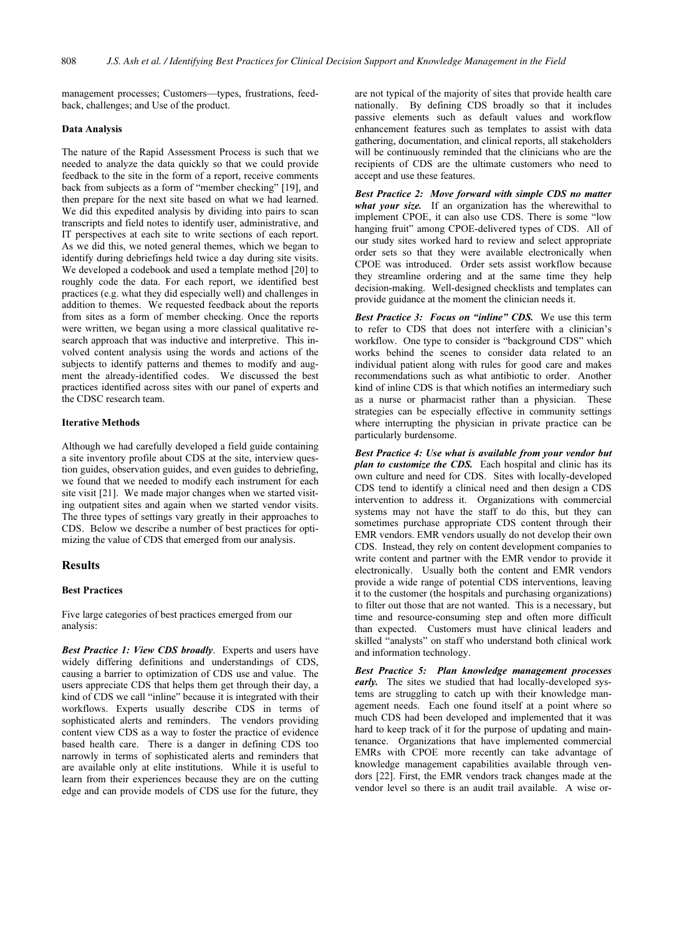management processes; Customers—types, frustrations, feedback, challenges; and Use of the product.

#### Data Analysis

The nature of the Rapid Assessment Process is such that we needed to analyze the data quickly so that we could provide feedback to the site in the form of a report, receive comments back from subjects as a form of "member checking" [19], and then prepare for the next site based on what we had learned. We did this expedited analysis by dividing into pairs to scan transcripts and field notes to identify user, administrative, and IT perspectives at each site to write sections of each report. As we did this, we noted general themes, which we began to identify during debriefings held twice a day during site visits. We developed a codebook and used a template method [20] to roughly code the data. For each report, we identified best practices (e.g. what they did especially well) and challenges in addition to themes. We requested feedback about the reports from sites as a form of member checking. Once the reports were written, we began using a more classical qualitative research approach that was inductive and interpretive. This involved content analysis using the words and actions of the subjects to identify patterns and themes to modify and augment the already-identified codes. We discussed the best practices identified across sites with our panel of experts and the CDSC research team.

## Iterative Methods

Although we had carefully developed a field guide containing a site inventory profile about CDS at the site, interview question guides, observation guides, and even guides to debriefing, we found that we needed to modify each instrument for each site visit [21]. We made major changes when we started visiting outpatient sites and again when we started vendor visits. The three types of settings vary greatly in their approaches to CDS. Below we describe a number of best practices for optimizing the value of CDS that emerged from our analysis.

#### Results

## Best Practices

Five large categories of best practices emerged from our analysis:

Best Practice 1: View CDS broadly. Experts and users have widely differing definitions and understandings of CDS, causing a barrier to optimization of CDS use and value. The users appreciate CDS that helps them get through their day, a kind of CDS we call "inline" because it is integrated with their workflows. Experts usually describe CDS in terms of sophisticated alerts and reminders. The vendors providing content view CDS as a way to foster the practice of evidence based health care. There is a danger in defining CDS too narrowly in terms of sophisticated alerts and reminders that are available only at elite institutions. While it is useful to learn from their experiences because they are on the cutting edge and can provide models of CDS use for the future, they

are not typical of the majority of sites that provide health care nationally. By defining CDS broadly so that it includes passive elements such as default values and workflow enhancement features such as templates to assist with data gathering, documentation, and clinical reports, all stakeholders will be continuously reminded that the clinicians who are the recipients of CDS are the ultimate customers who need to accept and use these features.

Best Practice 2: Move forward with simple CDS no matter what your size. If an organization has the wherewithal to implement CPOE, it can also use CDS. There is some "low hanging fruit" among CPOE-delivered types of CDS. All of our study sites worked hard to review and select appropriate order sets so that they were available electronically when CPOE was introduced. Order sets assist workflow because they streamline ordering and at the same time they help decision-making. Well-designed checklists and templates can provide guidance at the moment the clinician needs it.

Best Practice 3: Focus on "inline" CDS. We use this term to refer to CDS that does not interfere with a clinician's workflow. One type to consider is "background CDS" which works behind the scenes to consider data related to an individual patient along with rules for good care and makes recommendations such as what antibiotic to order. Another kind of inline CDS is that which notifies an intermediary such as a nurse or pharmacist rather than a physician. These strategies can be especially effective in community settings where interrupting the physician in private practice can be particularly burdensome.

Best Practice 4: Use what is available from your vendor but plan to customize the CDS. Each hospital and clinic has its own culture and need for CDS. Sites with locally-developed CDS tend to identify a clinical need and then design a CDS intervention to address it. Organizations with commercial systems may not have the staff to do this, but they can sometimes purchase appropriate CDS content through their EMR vendors. EMR vendors usually do not develop their own CDS. Instead, they rely on content development companies to write content and partner with the EMR vendor to provide it electronically. Usually both the content and EMR vendors provide a wide range of potential CDS interventions, leaving it to the customer (the hospitals and purchasing organizations) to filter out those that are not wanted. This is a necessary, but time and resource-consuming step and often more difficult than expected. Customers must have clinical leaders and skilled "analysts" on staff who understand both clinical work and information technology.

Best Practice 5: Plan knowledge management processes early. The sites we studied that had locally-developed systems are struggling to catch up with their knowledge management needs. Each one found itself at a point where so much CDS had been developed and implemented that it was hard to keep track of it for the purpose of updating and maintenance. Organizations that have implemented commercial EMRs with CPOE more recently can take advantage of knowledge management capabilities available through vendors [22]. First, the EMR vendors track changes made at the vendor level so there is an audit trail available. A wise or-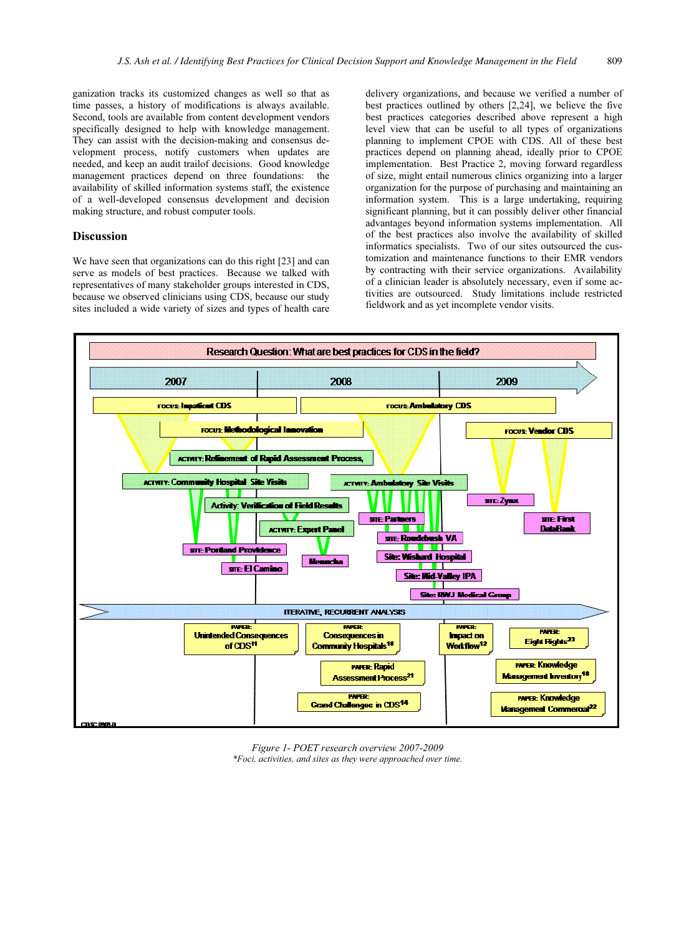ganization tracks its customized changes as well so that as time passes, a history of modifications is always available. Second, tools are available from content development vendors specifically designed to help with knowledge management. They can assist with the decision-making and consensus development process, notify customers when updates are needed, and keep an audit trailof decisions. Good knowledge management practices depend on three foundations: the availability of skilled information systems staff, the existence of a well-developed consensus development and decision making structure, and robust computer tools.

## Discussion

We have seen that organizations can do this right [23] and can serve as models of best practices. Because we talked with representatives of many stakeholder groups interested in CDS, because we observed clinicians using CDS, because our study sites included a wide variety of sizes and types of health care delivery organizations, and because we verified a number of best practices outlined by others [2,24], we believe the five best practices categories described above represent a high level view that can be useful to all types of organizations planning to implement CPOE with CDS. All of these best practices depend on planning ahead, ideally prior to CPOE implementation. Best Practice 2, moving forward regardless of size, might entail numerous clinics organizing into a larger organization for the purpose of purchasing and maintaining an information system. This is a large undertaking, requiring significant planning, but it can possibly deliver other financial advantages beyond information systems implementation. All of the best practices also involve the availability of skilled informatics specialists. Two of our sites outsourced the customization and maintenance functions to their EMR vendors by contracting with their service organizations. Availability of a clinician leader is absolutely necessary, even if some activities are outsourced. Study limitations include restricted fieldwork and as yet incomplete vendor visits.



Figure 1- POET research overview 2007-2009 \*Foci, activities, and sites as they were approached over time.